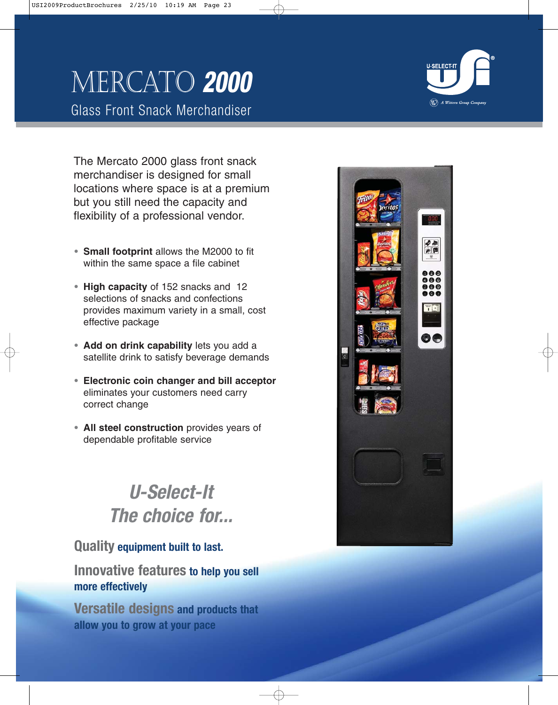# Mercato **2000**

Glass Front Snack Merchandiser

 $(\overline{\text{W}})$  A Wittern Group Compa

The Mercato 2000 glass front snack merchandiser is designed for small locations where space is at a premium but you still need the capacity and flexibility of a professional vendor.

- **• Small footprint** allows the M2000 to fit within the same space a file cabinet
- **• High capacity** of 152 snacks and 12 selections of snacks and confections provides maximum variety in a small, cost effective package
- **• Add on drink capability** lets you add a satellite drink to satisfy beverage demands
- **• Electronic coin changer and bill acceptor** eliminates your customers need carry correct change
- **• All steel construction** provides years of dependable profitable service

# **U-Select-It The choice for...**

## **Quality equipment built to last.**

# **Innovative features to help you sell more effectively**

**Versatile designs and products that allow you to grow at your pace**